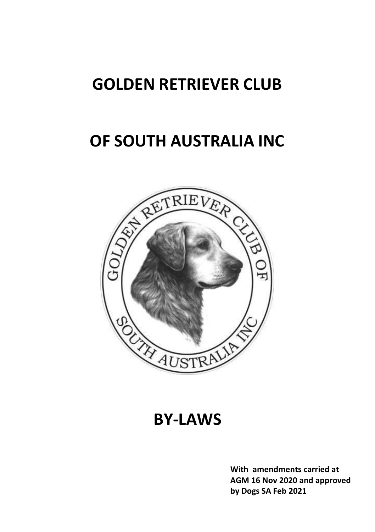# **GOLDEN RETRIEVER CLUB**

# **OF SOUTH AUSTRALIA INC**



**BY-LAWS**

**With amendments carried at AGM 16 Nov 2020 and approved by Dogs SA Feb 2021**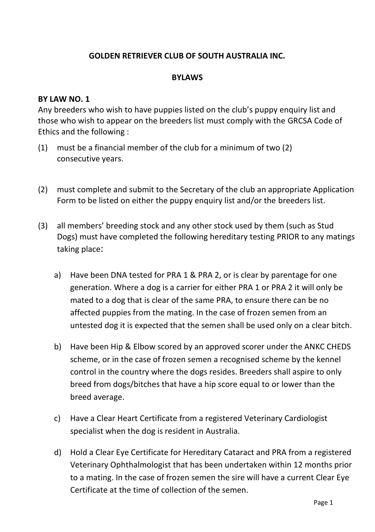## **GOLDEN RETRIEVER CLUB OF SOUTH AUSTRALIA INC.**

#### **BYLAWS**

#### **BY LAW NO. 1**

Any breeders who wish to have puppies listed on the club's puppy enquiry list and those who wish to appear on the breeders list must comply with the GRCSA Code of Ethics and the following :

- (1) must be a financial member of the club for a minimum of two (2) consecutive years.
- (2) must complete and submit to the Secretary of the club an appropriate Application Form to be listed on either the puppy enquiry list and/or the breeders list.
- (3) all members' breeding stock and any other stock used by them (such as Stud Dogs) must have completed the following hereditary testing PRIOR to any matings taking place:
	- a) Have been DNA tested for PRA 1 & PRA 2, or is clear by parentage for one generation. Where a dog is a carrier for either PRA 1 or PRA 2 it will only be mated to a dog that is clear of the same PRA, to ensure there can be no affected puppies from the mating. In the case of frozen semen from an untested dog it is expected that the semen shall be used only on a clear bitch.
	- b) Have been Hip & Elbow scored by an approved scorer under the ANKC CHEDS scheme, or in the case of frozen semen a recognised scheme by the kennel control in the country where the dogs resides. Breeders shall aspire to only breed from dogs/bitches that have a hip score equal to or lower than the breed average.
	- c) Have a Clear Heart Certificate from a registered Veterinary Cardiologist specialist when the dog is resident in Australia.
	- d) Hold a Clear Eye Certificate for Hereditary Cataract and PRA from a registered Veterinary Ophthalmologist that has been undertaken within 12 months prior to a mating. In the case of frozen semen the sire will have a current Clear Eye Certificate at the time of collection of the semen.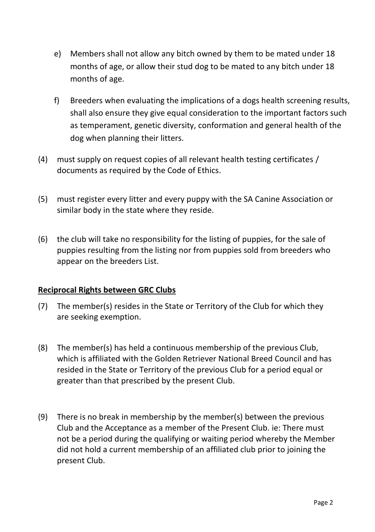- e) Members shall not allow any bitch owned by them to be mated under 18 months of age, or allow their stud dog to be mated to any bitch under 18 months of age.
- f) Breeders when evaluating the implications of a dogs health screening results, shall also ensure they give equal consideration to the important factors such as temperament, genetic diversity, conformation and general health of the dog when planning their litters.
- (4) must supply on request copies of all relevant health testing certificates / documents as required by the Code of Ethics.
- (5) must register every litter and every puppy with the SA Canine Association or similar body in the state where they reside.
- (6) the club will take no responsibility for the listing of puppies, for the sale of puppies resulting from the listing nor from puppies sold from breeders who appear on the breeders List.

## **Reciprocal Rights between GRC Clubs**

- (7) The member(s) resides in the State or Territory of the Club for which they are seeking exemption.
- (8) The member(s) has held a continuous membership of the previous Club, which is affiliated with the Golden Retriever National Breed Council and has resided in the State or Territory of the previous Club for a period equal or greater than that prescribed by the present Club.
- (9) There is no break in membership by the member(s) between the previous Club and the Acceptance as a member of the Present Club. ie: There must not be a period during the qualifying or waiting period whereby the Member did not hold a current membership of an affiliated club prior to joining the present Club.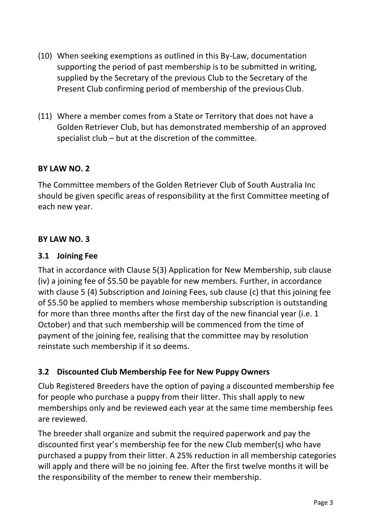- (10) When seeking exemptions as outlined in this By-Law, documentation supporting the period of past membership is to be submitted in writing, supplied by the Secretary of the previous Club to the Secretary of the Present Club confirming period of membership of the previous Club.
- (11) Where a member comes from a State or Territory that does not have a Golden Retriever Club, but has demonstrated membership of an approved specialist club – but at the discretion of the committee.

The Committee members of the Golden Retriever Club of South Australia Inc should be given specific areas of responsibility at the first Committee meeting of each new year.

#### **BY LAW NO. 3**

#### **3.1 Joining Fee**

That in accordance with Clause 5(3) Application for New Membership, sub clause (iv) a joining fee of \$5.50 be payable for new members. Further, in accordance with clause 5 (4) Subscription and Joining Fees, sub clause (c) that this joining fee of \$5.50 be applied to members whose membership subscription is outstanding for more than three months after the first day of the new financial year (i.e. 1 October) and that such membership will be commenced from the time of payment of the joining fee, realising that the committee may by resolution reinstate such membership if it so deems.

## **3.2 Discounted Club Membership Fee for New Puppy Owners**

Club Registered Breeders have the option of paying a discounted membership fee for people who purchase a puppy from their litter. This shall apply to new memberships only and be reviewed each year at the same time membership fees are reviewed.

The breeder shall organize and submit the required paperwork and pay the discounted first year's membership fee for the new Club member(s) who have purchased a puppy from their litter. A 25% reduction in all membership categories will apply and there will be no joining fee. After the first twelve months it will be the responsibility of the member to renew their membership.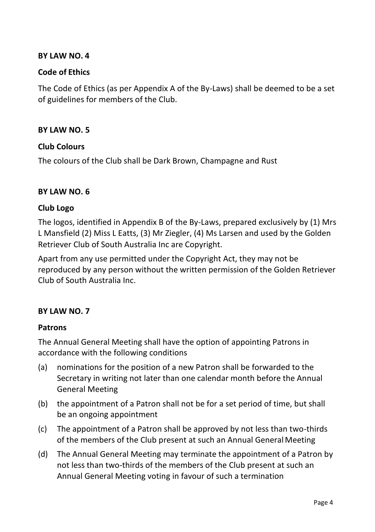#### **Code of Ethics**

The Code of Ethics (as per Appendix A of the By-Laws) shall be deemed to be a set of guidelines for members of the Club.

#### **BY LAW NO. 5**

#### **Club Colours**

The colours of the Club shall be Dark Brown, Champagne and Rust

#### **BY LAW NO. 6**

#### **Club Logo**

The logos, identified in Appendix B of the By-Laws, prepared exclusively by (1) Mrs L Mansfield (2) Miss L Eatts, (3) Mr Ziegler, (4) Ms Larsen and used by the Golden Retriever Club of South Australia Inc are Copyright.

Apart from any use permitted under the Copyright Act, they may not be reproduced by any person without the written permission of the Golden Retriever Club of South Australia Inc.

## **BY LAW NO. 7**

#### **Patrons**

The Annual General Meeting shall have the option of appointing Patrons in accordance with the following conditions

- (a) nominations for the position of a new Patron shall be forwarded to the Secretary in writing not later than one calendar month before the Annual General Meeting
- (b) the appointment of a Patron shall not be for a set period of time, but shall be an ongoing appointment
- (c) The appointment of a Patron shall be approved by not less than two-thirds of the members of the Club present at such an Annual General Meeting
- (d) The Annual General Meeting may terminate the appointment of a Patron by not less than two-thirds of the members of the Club present at such an Annual General Meeting voting in favour of such a termination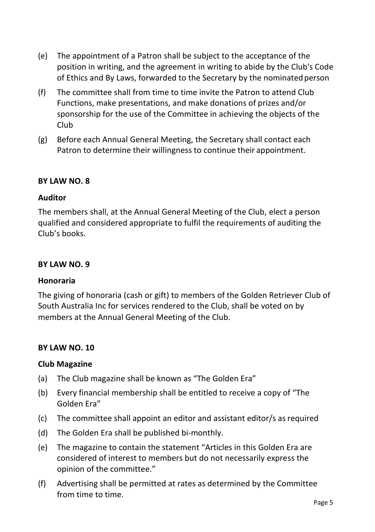- (e) The appointment of a Patron shall be subject to the acceptance of the position in writing, and the agreement in writing to abide by the Club's Code of Ethics and By Laws, forwarded to the Secretary by the nominated person
- (f) The committee shall from time to time invite the Patron to attend Club Functions, make presentations, and make donations of prizes and/or sponsorship for the use of the Committee in achieving the objects of the Club
- (g) Before each Annual General Meeting, the Secretary shall contact each Patron to determine their willingness to continue their appointment.

## **Auditor**

The members shall, at the Annual General Meeting of the Club, elect a person qualified and considered appropriate to fulfil the requirements of auditing the Club's books.

## **BY LAW NO. 9**

#### **Honoraria**

The giving of honoraria (cash or gift) to members of the Golden Retriever Club of South Australia Inc for services rendered to the Club, shall be voted on by members at the Annual General Meeting of the Club.

## **BY LAW NO. 10**

#### **Club Magazine**

- (a) The Club magazine shall be known as "The Golden Era"
- (b) Every financial membership shall be entitled to receive a copy of "The Golden Era"
- (c) The committee shall appoint an editor and assistant editor/s asrequired
- (d) The Golden Era shall be published bi-monthly.
- (e) The magazine to contain the statement "Articles in this Golden Era are considered of interest to members but do not necessarily express the opinion of the committee."
- (f) Advertising shall be permitted at rates as determined by the Committee from time to time.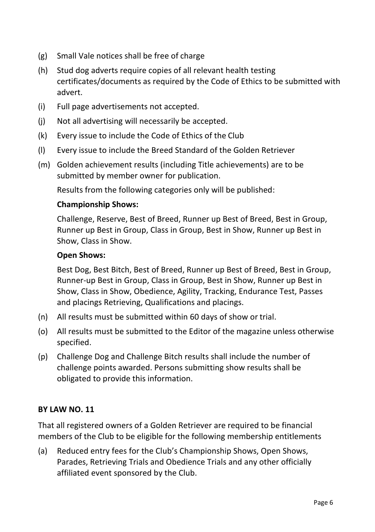- (g) Small Vale notices shall be free of charge
- (h) Stud dog adverts require copies of all relevant health testing certificates/documents as required by the Code of Ethics to be submitted with advert.
- (i) Full page advertisements not accepted.
- (j) Not all advertising will necessarily be accepted.
- (k) Every issue to include the Code of Ethics of the Club
- (l) Every issue to include the Breed Standard of the Golden Retriever
- (m) Golden achievement results (including Title achievements) are to be submitted by member owner for publication.

Results from the following categories only will be published:

#### **Championship Shows:**

Challenge, Reserve, Best of Breed, Runner up Best of Breed, Best in Group, Runner up Best in Group, Class in Group, Best in Show, Runner up Best in Show, Class in Show.

#### **Open Shows:**

Best Dog, Best Bitch, Best of Breed, Runner up Best of Breed, Best in Group, Runner-up Best in Group, Class in Group, Best in Show, Runner up Best in Show, Class in Show, Obedience, Agility, Tracking, Endurance Test, Passes and placings Retrieving, Qualifications and placings.

- (n) All results must be submitted within 60 days of show or trial.
- (o) All results must be submitted to the Editor of the magazine unless otherwise specified.
- (p) Challenge Dog and Challenge Bitch results shall include the number of challenge points awarded. Persons submitting show results shall be obligated to provide this information.

## **BY LAW NO. 11**

That all registered owners of a Golden Retriever are required to be financial members of the Club to be eligible for the following membership entitlements

(a) Reduced entry fees for the Club's Championship Shows, Open Shows, Parades, Retrieving Trials and Obedience Trials and any other officially affiliated event sponsored by the Club.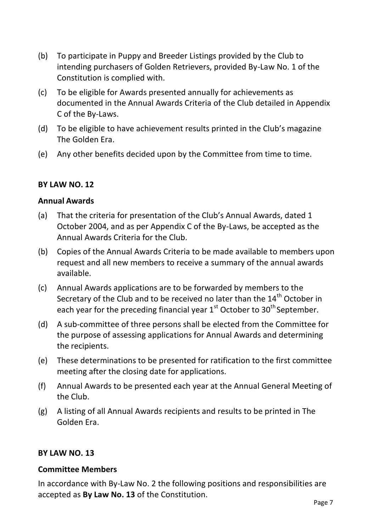- (b) To participate in Puppy and Breeder Listings provided by the Club to intending purchasers of Golden Retrievers, provided By-Law No. 1 of the Constitution is complied with.
- (c) To be eligible for Awards presented annually for achievements as documented in the Annual Awards Criteria of the Club detailed in Appendix C of the By-Laws.
- (d) To be eligible to have achievement results printed in the Club's magazine The Golden Era.
- (e) Any other benefits decided upon by the Committee from time to time.

#### **Annual Awards**

- (a) That the criteria for presentation of the Club's Annual Awards, dated 1 October 2004, and as per Appendix C of the By-Laws, be accepted as the Annual Awards Criteria for the Club.
- (b) Copies of the Annual Awards Criteria to be made available to members upon request and all new members to receive a summary of the annual awards available.
- (c) Annual Awards applications are to be forwarded by members to the Secretary of the Club and to be received no later than the  $14<sup>th</sup>$  October in each year for the preceding financial year 1<sup>st</sup> October to 30<sup>th</sup> September.
- (d) A sub-committee of three persons shall be elected from the Committee for the purpose of assessing applications for Annual Awards and determining the recipients.
- (e) These determinations to be presented for ratification to the first committee meeting after the closing date for applications.
- (f) Annual Awards to be presented each year at the Annual General Meeting of the Club.
- (g) A listing of all Annual Awards recipients and results to be printed in The Golden Era.

## **BY LAW NO. 13**

#### **Committee Members**

In accordance with By-Law No. 2 the following positions and responsibilities are accepted as **By Law No. 13** of the Constitution.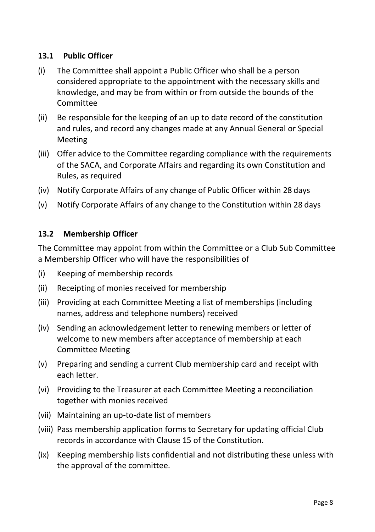## **13.1 Public Officer**

- (i) The Committee shall appoint a Public Officer who shall be a person considered appropriate to the appointment with the necessary skills and knowledge, and may be from within or from outside the bounds of the Committee
- (ii) Be responsible for the keeping of an up to date record of the constitution and rules, and record any changes made at any Annual General or Special Meeting
- (iii) Offer advice to the Committee regarding compliance with the requirements of the SACA, and Corporate Affairs and regarding its own Constitution and Rules, as required
- (iv) Notify Corporate Affairs of any change of Public Officer within 28 days
- (v) Notify Corporate Affairs of any change to the Constitution within 28 days

## **13.2 Membership Officer**

The Committee may appoint from within the Committee or a Club Sub Committee a Membership Officer who will have the responsibilities of

- (i) Keeping of membership records
- (ii) Receipting of monies received for membership
- (iii) Providing at each Committee Meeting a list of memberships (including names, address and telephone numbers) received
- (iv) Sending an acknowledgement letter to renewing members or letter of welcome to new members after acceptance of membership at each Committee Meeting
- (v) Preparing and sending a current Club membership card and receipt with each letter.
- (vi) Providing to the Treasurer at each Committee Meeting a reconciliation together with monies received
- (vii) Maintaining an up-to-date list of members
- (viii) Pass membership application forms to Secretary for updating official Club records in accordance with Clause 15 of the Constitution.
- (ix) Keeping membership lists confidential and not distributing these unless with the approval of the committee.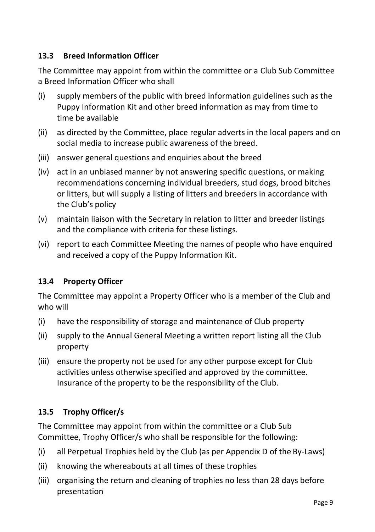# **13.3 Breed Information Officer**

The Committee may appoint from within the committee or a Club Sub Committee a Breed Information Officer who shall

- (i) supply members of the public with breed information guidelines such as the Puppy Information Kit and other breed information as may from time to time be available
- (ii) as directed by the Committee, place regular adverts in the local papers and on social media to increase public awareness of the breed.
- (iii) answer general questions and enquiries about the breed
- (iv) act in an unbiased manner by not answering specific questions, or making recommendations concerning individual breeders, stud dogs, brood bitches or litters, but will supply a listing of litters and breeders in accordance with the Club's policy
- (v) maintain liaison with the Secretary in relation to litter and breeder listings and the compliance with criteria for these listings.
- (vi) report to each Committee Meeting the names of people who have enquired and received a copy of the Puppy Information Kit.

# **13.4 Property Officer**

The Committee may appoint a Property Officer who is a member of the Club and who will

- (i) have the responsibility of storage and maintenance of Club property
- (ii) supply to the Annual General Meeting a written report listing all the Club property
- (iii) ensure the property not be used for any other purpose except for Club activities unless otherwise specified and approved by the committee. Insurance of the property to be the responsibility of the Club.

# **13.5 Trophy Officer/s**

The Committee may appoint from within the committee or a Club Sub Committee, Trophy Officer/s who shall be responsible for the following:

- (i) all Perpetual Trophies held by the Club (as per Appendix D of the By-Laws)
- (ii) knowing the whereabouts at all times of these trophies
- (iii) organising the return and cleaning of trophies no less than 28 days before presentation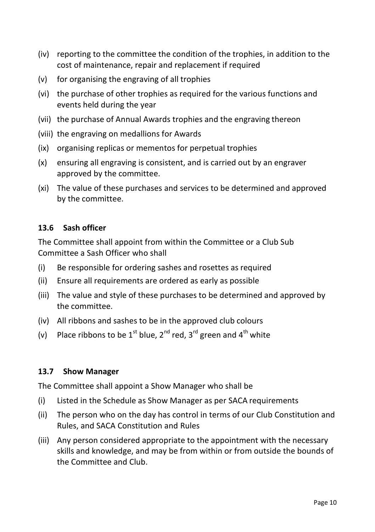- (iv) reporting to the committee the condition of the trophies, in addition to the cost of maintenance, repair and replacement if required
- (v) for organising the engraving of all trophies
- (vi) the purchase of other trophies as required for the various functions and events held during the year
- (vii) the purchase of Annual Awards trophies and the engraving thereon
- (viii) the engraving on medallions for Awards
- (ix) organising replicas or mementos for perpetual trophies
- (x) ensuring all engraving is consistent, and is carried out by an engraver approved by the committee.
- (xi) The value of these purchases and services to be determined and approved by the committee.

## **13.6 Sash officer**

The Committee shall appoint from within the Committee or a Club Sub Committee a Sash Officer who shall

- (i) Be responsible for ordering sashes and rosettes as required
- (ii) Ensure all requirements are ordered as early as possible
- (iii) The value and style of these purchases to be determined and approved by the committee.
- (iv) All ribbons and sashes to be in the approved club colours
- (v) Place ribbons to be  $1^{st}$  blue,  $2^{nd}$  red,  $3^{rd}$  green and  $4^{th}$  white

## **13.7 Show Manager**

The Committee shall appoint a Show Manager who shall be

- (i) Listed in the Schedule as Show Manager as per SACA requirements
- (ii) The person who on the day has control in terms of our Club Constitution and Rules, and SACA Constitution and Rules
- (iii) Any person considered appropriate to the appointment with the necessary skills and knowledge, and may be from within or from outside the bounds of the Committee and Club.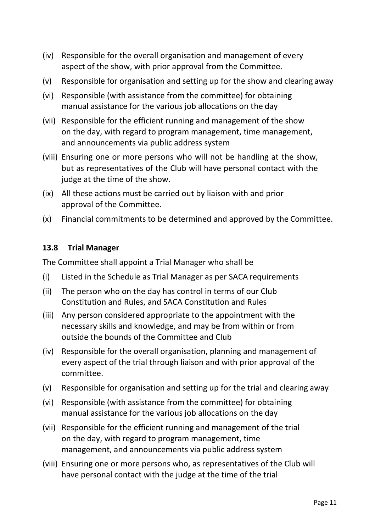- (iv) Responsible for the overall organisation and management of every aspect of the show, with prior approval from the Committee.
- (v) Responsible for organisation and setting up for the show and clearing away
- (vi) Responsible (with assistance from the committee) for obtaining manual assistance for the various job allocations on the day
- (vii) Responsible for the efficient running and management of the show on the day, with regard to program management, time management, and announcements via public address system
- (viii) Ensuring one or more persons who will not be handling at the show, but as representatives of the Club will have personal contact with the judge at the time of the show.
- (ix) All these actions must be carried out by liaison with and prior approval of the Committee.
- (x) Financial commitments to be determined and approved by the Committee.

#### **13.8 Trial Manager**

The Committee shall appoint a Trial Manager who shall be

- (i) Listed in the Schedule as Trial Manager as per SACA requirements
- (ii) The person who on the day has control in terms of our Club Constitution and Rules, and SACA Constitution and Rules
- (iii) Any person considered appropriate to the appointment with the necessary skills and knowledge, and may be from within or from outside the bounds of the Committee and Club
- (iv) Responsible for the overall organisation, planning and management of every aspect of the trial through liaison and with prior approval of the committee.
- (v) Responsible for organisation and setting up for the trial and clearing away
- (vi) Responsible (with assistance from the committee) for obtaining manual assistance for the various job allocations on the day
- (vii) Responsible for the efficient running and management of the trial on the day, with regard to program management, time management, and announcements via public address system
- (viii) Ensuring one or more persons who, as representatives of the Club will have personal contact with the judge at the time of the trial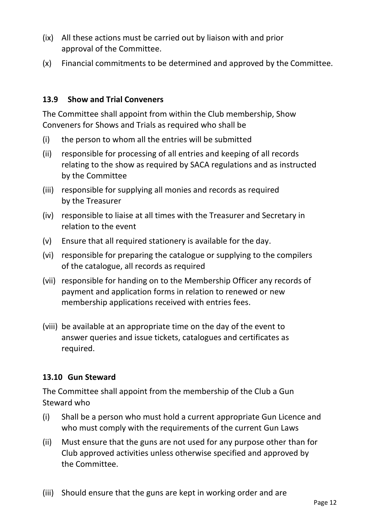- (ix) All these actions must be carried out by liaison with and prior approval of the Committee.
- (x) Financial commitments to be determined and approved by the Committee.

# **13.9 Show and Trial Conveners**

The Committee shall appoint from within the Club membership, Show Conveners for Shows and Trials as required who shall be

- (i) the person to whom all the entries will be submitted
- (ii) responsible for processing of all entries and keeping of all records relating to the show as required by SACA regulations and as instructed by the Committee
- (iii) responsible for supplying all monies and records as required by the Treasurer
- (iv) responsible to liaise at all times with the Treasurer and Secretary in relation to the event
- (v) Ensure that all required stationery is available for the day.
- (vi) responsible for preparing the catalogue or supplying to the compilers of the catalogue, all records as required
- (vii) responsible for handing on to the Membership Officer any records of payment and application forms in relation to renewed or new membership applications received with entries fees.
- (viii) be available at an appropriate time on the day of the event to answer queries and issue tickets, catalogues and certificates as required.

# **13.10 Gun Steward**

The Committee shall appoint from the membership of the Club a Gun Steward who

- (i) Shall be a person who must hold a current appropriate Gun Licence and who must comply with the requirements of the current Gun Laws
- (ii) Must ensure that the guns are not used for any purpose other than for Club approved activities unless otherwise specified and approved by the Committee.
- (iii) Should ensure that the guns are kept in working order and are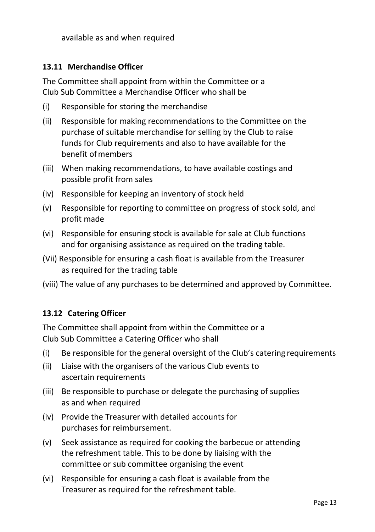available as and when required

## **13.11 Merchandise Officer**

The Committee shall appoint from within the Committee or a Club Sub Committee a Merchandise Officer who shall be

- (i) Responsible for storing the merchandise
- (ii) Responsible for making recommendations to the Committee on the purchase of suitable merchandise for selling by the Club to raise funds for Club requirements and also to have available for the benefit ofmembers
- (iii) When making recommendations, to have available costings and possible profit from sales
- (iv) Responsible for keeping an inventory of stock held
- (v) Responsible for reporting to committee on progress of stock sold, and profit made
- (vi) Responsible for ensuring stock is available for sale at Club functions and for organising assistance as required on the trading table.
- (Vii) Responsible for ensuring a cash float is available from the Treasurer as required for the trading table
- (viii) The value of any purchases to be determined and approved by Committee.

# **13.12 Catering Officer**

The Committee shall appoint from within the Committee or a Club Sub Committee a Catering Officer who shall

- (i) Be responsible for the general oversight of the Club's catering requirements
- (ii) Liaise with the organisers of the various Club events to ascertain requirements
- (iii) Be responsible to purchase or delegate the purchasing of supplies as and when required
- (iv) Provide the Treasurer with detailed accounts for purchases for reimbursement.
- (v) Seek assistance as required for cooking the barbecue or attending the refreshment table. This to be done by liaising with the committee or sub committee organising the event
- (vi) Responsible for ensuring a cash float is available from the Treasurer as required for the refreshment table.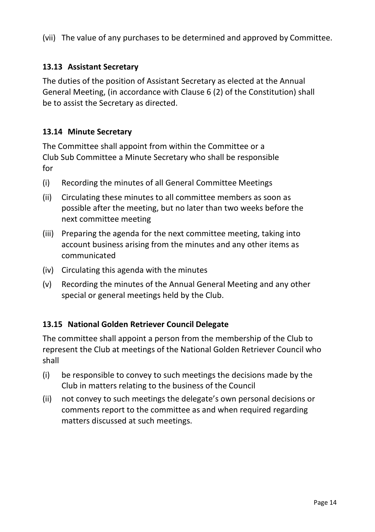(vii) The value of any purchases to be determined and approved by Committee.

# **13.13 Assistant Secretary**

The duties of the position of Assistant Secretary as elected at the Annual General Meeting, (in accordance with Clause 6 (2) of the Constitution) shall be to assist the Secretary as directed.

# **13.14 Minute Secretary**

The Committee shall appoint from within the Committee or a Club Sub Committee a Minute Secretary who shall be responsible for

- (i) Recording the minutes of all General Committee Meetings
- (ii) Circulating these minutes to all committee members as soon as possible after the meeting, but no later than two weeks before the next committee meeting
- (iii) Preparing the agenda for the next committee meeting, taking into account business arising from the minutes and any other items as communicated
- (iv) Circulating this agenda with the minutes
- (v) Recording the minutes of the Annual General Meeting and any other special or general meetings held by the Club.

# **13.15 National Golden Retriever Council Delegate**

The committee shall appoint a person from the membership of the Club to represent the Club at meetings of the National Golden Retriever Council who shall

- (i) be responsible to convey to such meetings the decisions made by the Club in matters relating to the business of the Council
- (ii) not convey to such meetings the delegate's own personal decisions or comments report to the committee as and when required regarding matters discussed at such meetings.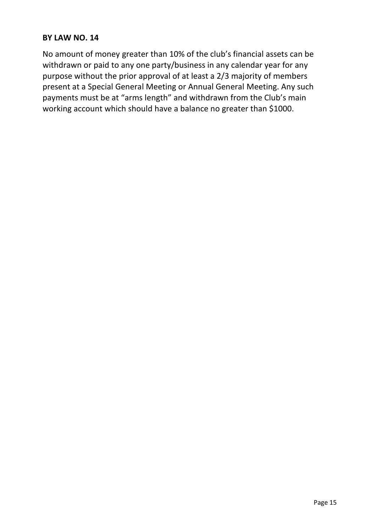No amount of money greater than 10% of the club's financial assets can be withdrawn or paid to any one party/business in any calendar year for any purpose without the prior approval of at least a 2/3 majority of members present at a Special General Meeting or Annual General Meeting. Any such payments must be at "arms length" and withdrawn from the Club's main working account which should have a balance no greater than \$1000.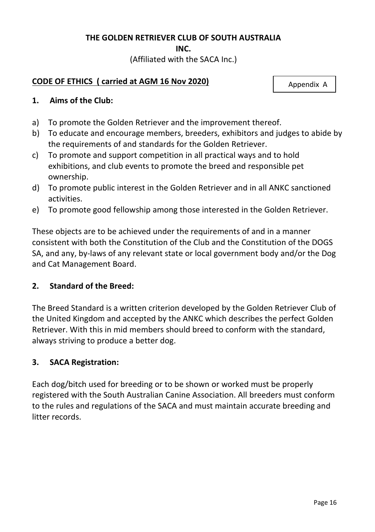#### **THE GOLDEN RETRIEVER CLUB OF SOUTH AUSTRALIA**

**INC.**

(Affiliated with the SACA Inc.)

## **CODE OF ETHICS ( carried at AGM 16 Nov 2020)**

Appendix A

#### **1. Aims of the Club:**

- a) To promote the Golden Retriever and the improvement thereof.
- b) To educate and encourage members, breeders, exhibitors and judges to abide by the requirements of and standards for the Golden Retriever.
- c) To promote and support competition in all practical ways and to hold exhibitions, and club events to promote the breed and responsible pet ownership.
- d) To promote public interest in the Golden Retriever and in all ANKC sanctioned activities.
- e) To promote good fellowship among those interested in the Golden Retriever.

These objects are to be achieved under the requirements of and in a manner consistent with both the Constitution of the Club and the Constitution of the DOGS SA, and any, by-laws of any relevant state or local government body and/or the Dog and Cat Management Board.

## **2. Standard of the Breed:**

The Breed Standard is a written criterion developed by the Golden Retriever Club of the United Kingdom and accepted by the ANKC which describes the perfect Golden Retriever. With this in mid members should breed to conform with the standard, always striving to produce a better dog.

#### **3. SACA Registration:**

Each dog/bitch used for breeding or to be shown or worked must be properly registered with the South Australian Canine Association. All breeders must conform to the rules and regulations of the SACA and must maintain accurate breeding and litter records.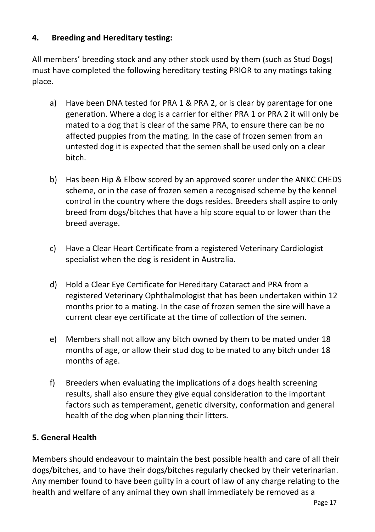# **4. Breeding and Hereditary testing:**

All members' breeding stock and any other stock used by them (such as Stud Dogs) must have completed the following hereditary testing PRIOR to any matings taking place.

- a) Have been DNA tested for PRA 1 & PRA 2, or is clear by parentage for one generation. Where a dog is a carrier for either PRA 1 or PRA 2 it will only be mated to a dog that is clear of the same PRA, to ensure there can be no affected puppies from the mating. In the case of frozen semen from an untested dog it is expected that the semen shall be used only on a clear bitch.
- b) Has been Hip & Elbow scored by an approved scorer under the ANKC CHEDS scheme, or in the case of frozen semen a recognised scheme by the kennel control in the country where the dogs resides. Breeders shall aspire to only breed from dogs/bitches that have a hip score equal to or lower than the breed average.
- c) Have a Clear Heart Certificate from a registered Veterinary Cardiologist specialist when the dog is resident in Australia.
- d) Hold a Clear Eye Certificate for Hereditary Cataract and PRA from a registered Veterinary Ophthalmologist that has been undertaken within 12 months prior to a mating. In the case of frozen semen the sire will have a current clear eye certificate at the time of collection of the semen.
- e) Members shall not allow any bitch owned by them to be mated under 18 months of age, or allow their stud dog to be mated to any bitch under 18 months of age.
- f) Breeders when evaluating the implications of a dogs health screening results, shall also ensure they give equal consideration to the important factors such as temperament, genetic diversity, conformation and general health of the dog when planning their litters.

# **5. General Health**

Members should endeavour to maintain the best possible health and care of all their dogs/bitches, and to have their dogs/bitches regularly checked by their veterinarian. Any member found to have been guilty in a court of law of any charge relating to the health and welfare of any animal they own shall immediately be removed as a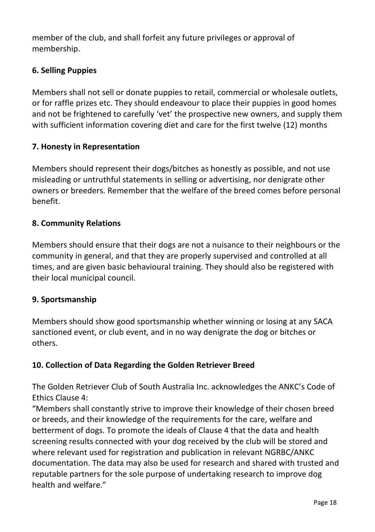member of the club, and shall forfeit any future privileges or approval of membership.

# **6. Selling Puppies**

Members shall not sell or donate puppies to retail, commercial or wholesale outlets, or for raffle prizes etc. They should endeavour to place their puppies in good homes and not be frightened to carefully 'vet' the prospective new owners, and supply them with sufficient information covering diet and care for the first twelve (12) months

# **7. Honesty in Representation**

Members should represent their dogs/bitches as honestly as possible, and not use misleading or untruthful statements in selling or advertising, nor denigrate other owners or breeders. Remember that the welfare of the breed comes before personal benefit.

## **8. Community Relations**

Members should ensure that their dogs are not a nuisance to their neighbours or the community in general, and that they are properly supervised and controlled at all times, and are given basic behavioural training. They should also be registered with their local municipal council.

# **9. Sportsmanship**

Members should show good sportsmanship whether winning or losing at any SACA sanctioned event, or club event, and in no way denigrate the dog or bitches or others.

# **10. Collection of Data Regarding the Golden Retriever Breed**

The Golden Retriever Club of South Australia Inc. acknowledges the ANKC's Code of Ethics Clause 4:

"Members shall constantly strive to improve their knowledge of their chosen breed or breeds, and their knowledge of the requirements for the care, welfare and betterment of dogs. To promote the ideals of Clause 4 that the data and health screening results connected with your dog received by the club will be stored and where relevant used for registration and publication in relevant NGRBC/ANKC documentation. The data may also be used for research and shared with trusted and reputable partners for the sole purpose of undertaking research to improve dog health and welfare."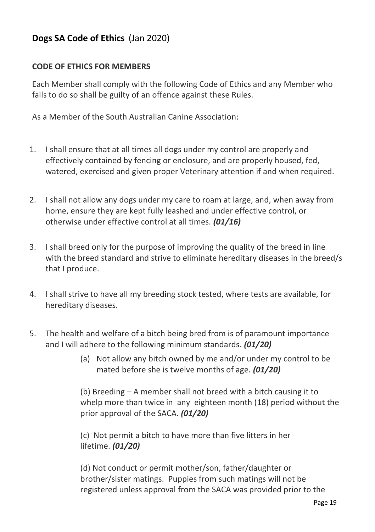# **Dogs SA Code of Ethics** (Jan 2020)

## **CODE OF ETHICS FOR MEMBERS**

Each Member shall comply with the following Code of Ethics and any Member who fails to do so shall be guilty of an offence against these Rules.

As a Member of the South Australian Canine Association:

- 1. I shall ensure that at all times all dogs under my control are properly and effectively contained by fencing or enclosure, and are properly housed, fed, watered, exercised and given proper Veterinary attention if and when required.
- 2. I shall not allow any dogs under my care to roam at large, and, when away from home, ensure they are kept fully leashed and under effective control, or otherwise under effective control at all times. *(01/16)*
- 3. I shall breed only for the purpose of improving the quality of the breed in line with the breed standard and strive to eliminate hereditary diseases in the breed/s that I produce.
- 4. I shall strive to have all my breeding stock tested, where tests are available, for hereditary diseases.
- 5. The health and welfare of a bitch being bred from is of paramount importance and I will adhere to the following minimum standards. *(01/20)*
	- (a) Not allow any bitch owned by me and/or under my control to be mated before she is twelve months of age. *(01/20)*

(b) Breeding – A member shall not breed with a bitch causing it to whelp more than twice in any eighteen month (18) period without the prior approval of the SACA. *(01/20)*

(c) Not permit a bitch to have more than five litters in her lifetime. *(01/20)*

(d) Not conduct or permit mother/son, father/daughter or brother/sister matings. Puppies from such matings will not be registered unless approval from the SACA was provided prior to the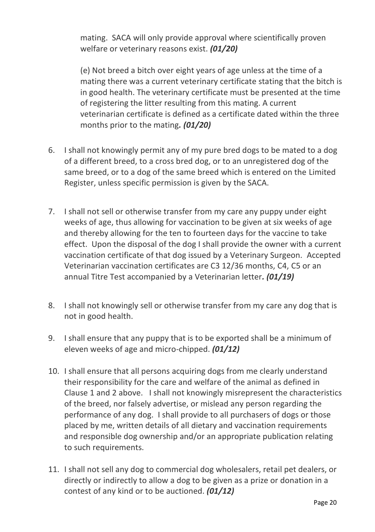mating. SACA will only provide approval where scientifically proven welfare or veterinary reasons exist. *(01/20)*

(e) Not breed a bitch over eight years of age unless at the time of a mating there was a current veterinary certificate stating that the bitch is in good health. The veterinary certificate must be presented at the time of registering the litter resulting from this mating. A current veterinarian certificate is defined as a certificate dated within the three months prior to the mating*. (01/20)*

- 6. I shall not knowingly permit any of my pure bred dogs to be mated to a dog of a different breed, to a cross bred dog, or to an unregistered dog of the same breed, or to a dog of the same breed which is entered on the Limited Register, unless specific permission is given by the SACA.
- 7. I shall not sell or otherwise transfer from my care any puppy under eight weeks of age, thus allowing for vaccination to be given at six weeks of age and thereby allowing for the ten to fourteen days for the vaccine to take effect. Upon the disposal of the dog I shall provide the owner with a current vaccination certificate of that dog issued by a Veterinary Surgeon. Accepted Veterinarian vaccination certificates are C3 12/36 months, C4, C5 or an annual Titre Test accompanied by a Veterinarian letter*. (01/19)*
- 8. I shall not knowingly sell or otherwise transfer from my care any dog that is not in good health.
- 9. I shall ensure that any puppy that is to be exported shall be a minimum of eleven weeks of age and micro-chipped. *(01/12)*
- 10. I shall ensure that all persons acquiring dogs from me clearly understand their responsibility for the care and welfare of the animal as defined in Clause 1 and 2 above. I shall not knowingly misrepresent the characteristics of the breed, nor falsely advertise, or mislead any person regarding the performance of any dog. I shall provide to all purchasers of dogs or those placed by me, written details of all dietary and vaccination requirements and responsible dog ownership and/or an appropriate publication relating to such requirements.
- 11. I shall not sell any dog to commercial dog wholesalers, retail pet dealers, or directly or indirectly to allow a dog to be given as a prize or donation in a contest of any kind or to be auctioned. *(01/12)*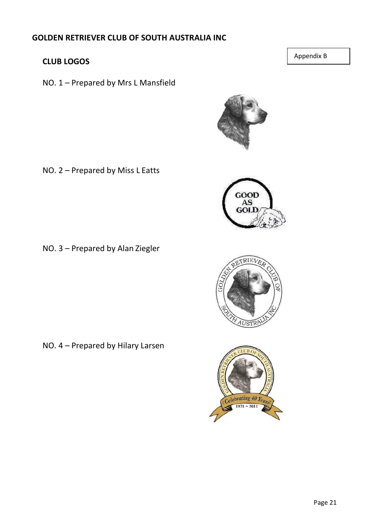# **GOLDEN RETRIEVER CLUB OF SOUTH AUSTRALIA INC**

# **CLUB LOGOS**

NO. 1 – Prepared by Mrs L Mansfield

NO. 2 – Prepared by Miss L Eatts

NO. 3 – Prepared by Alan Ziegler

NO. 4 – Prepared by Hilary Larsen





 $PIF$ 



Appendix B